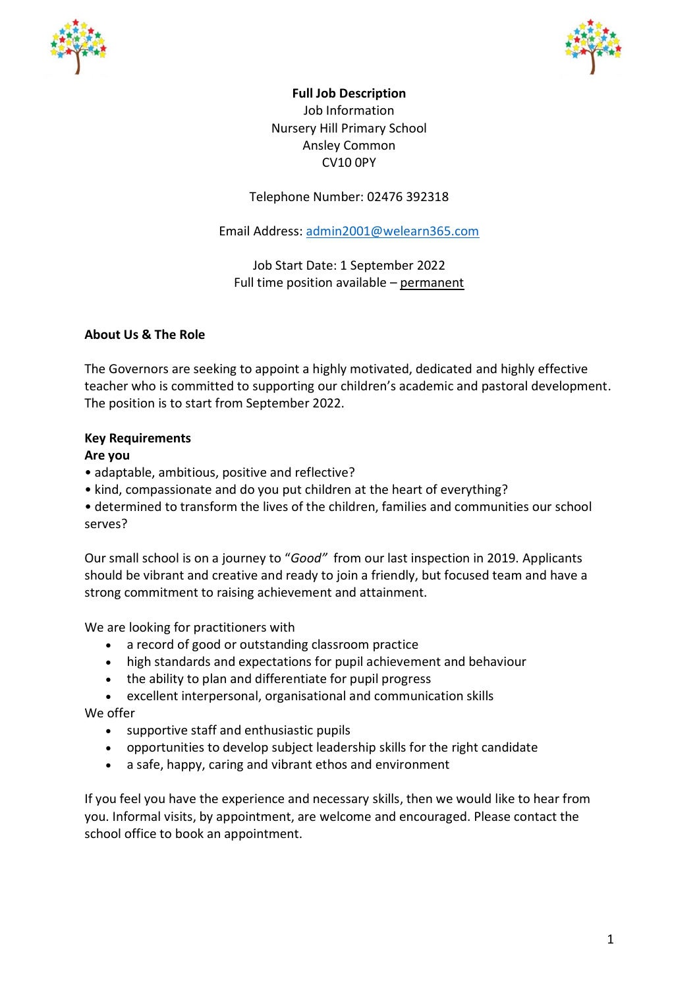



**Full Job Description** Job Information Nursery Hill Primary School Ansley Common CV10 0PY

Telephone Number: 02476 392318

Email Address: [admin2001@welearn365.com](mailto:admin2001@welearn365.com)

Job Start Date: 1 September 2022 Full time position available – permanent

# **About Us & The Role**

The Governors are seeking to appoint a highly motivated, dedicated and highly effective teacher who is committed to supporting our children's academic and pastoral development. The position is to start from September 2022.

# **Key Requirements**

## **Are you**

- adaptable, ambitious, positive and reflective?
- kind, compassionate and do you put children at the heart of everything?
- determined to transform the lives of the children, families and communities our school serves?

Our small school is on a journey to "*Good"* from our last inspection in 2019. Applicants should be vibrant and creative and ready to join a friendly, but focused team and have a strong commitment to raising achievement and attainment.

We are looking for practitioners with

- a record of good or outstanding classroom practice
- high standards and expectations for pupil achievement and behaviour
- the ability to plan and differentiate for pupil progress
- excellent interpersonal, organisational and communication skills

We offer

- supportive staff and enthusiastic pupils
- opportunities to develop subject leadership skills for the right candidate
- a safe, happy, caring and vibrant ethos and environment

If you feel you have the experience and necessary skills, then we would like to hear from you. Informal visits, by appointment, are welcome and encouraged. Please contact the school office to book an appointment.